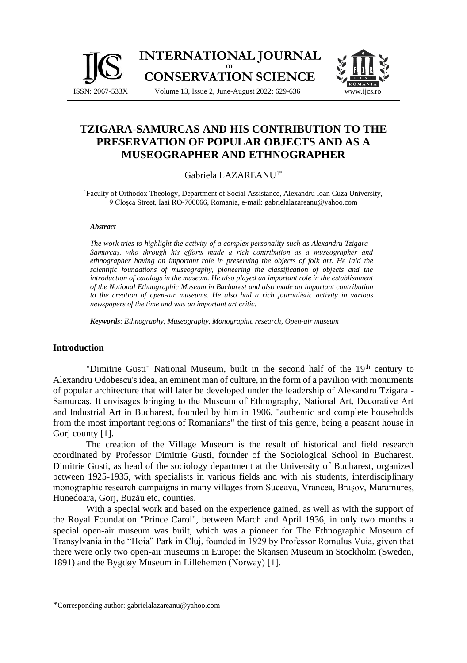

# **TZIGARA-SAMURCAS AND HIS CONTRIBUTION TO THE PRESERVATION OF POPULAR OBJECTS AND AS A**

## **MUSEOGRAPHER AND ETHNOGRAPHER** [Gabriela LAZAREANU](https://www.teologie.uaic.ro/wp-content/uploads/2020/10/CV-conf.-CG-LAZAREANU.pdf)1\*

<sup>1</sup>Faculty of Orthodox Theology, Department of Social Assistance, Alexandru Ioan Cuza University, 9 Cloşca Street, Iaai RO-700066, Romania, e-mail: [gabrielalazareanu@yahoo.com](mailto:gabrielalazareanu@yahoo.com)

#### *Abstract*

*The work tries to highlight the activity of a complex personality such as Alexandru Tzigara - Samurcaș, who through his efforts made a rich contribution as a museographer and ethnographer having an important role in preserving the objects of folk art. He laid the scientific foundations of museography, pioneering the classification of objects and the introduction of catalogs in the museum. He also played an important role in the establishment of the National Ethnographic Museum in Bucharest and also made an important contribution to the creation of open-air museums. He also had a rich journalistic activity in various newspapers of the time and was an important art critic.*

*Keywords: Ethnography, Museography, Monographic research, Open-air museum*

### **Introduction**

"Dimitrie Gusti" National Museum, built in the second half of the 19<sup>th</sup> century to Alexandru Odobescu's idea, an eminent man of culture, in the form of a pavilion with monuments of popular architecture that will later be developed under the leadership of Alexandru Tzigara - Samurcaș. It envisages bringing to the Museum of Ethnography, National Art, Decorative Art and Industrial Art in Bucharest, founded by him in 1906, "authentic and complete households from the most important regions of Romanians" the first of this genre, being a peasant house in Gori county [1].

The creation of the Village Museum is the result of historical and field research coordinated by Professor Dimitrie Gusti, founder of the Sociological School in Bucharest. Dimitrie Gusti, as head of the sociology department at the University of Bucharest, organized between 1925-1935, with specialists in various fields and with his students, interdisciplinary monographic research campaigns in many villages from Suceava, Vrancea, Brașov, Maramureș, Hunedoara, Gorj, Buzău etc, counties.

With a special work and based on the experience gained, as well as with the support of the Royal Foundation "Prince Carol", between March and April 1936, in only two months a special open-air museum was built, which was a pioneer for The Ethnographic Museum of Transylvania in the "Hoia" Park in Cluj, founded in 1929 by Professor Romulus Vuia, given that there were only two open-air museums in Europe: the Skansen Museum in Stockholm (Sweden, 1891) and the Bygdøy Museum in Lillehemen (Norway) [1].

<sup>\*</sup>Corresponding author: [gabrielalazareanu@yahoo.com](mailto:gabrielalazareanu@yahoo.com)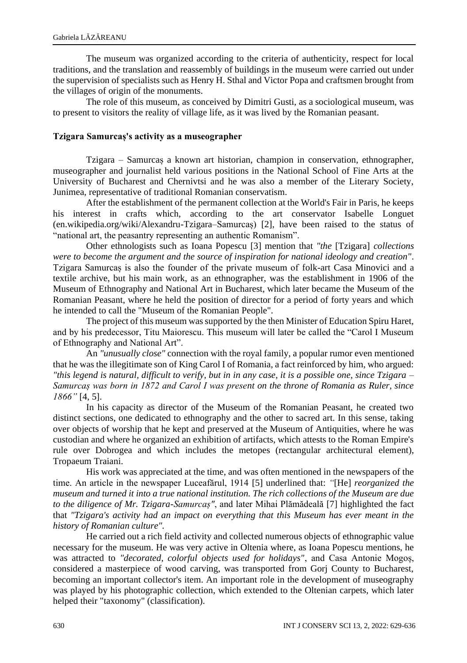The museum was organized according to the criteria of authenticity, respect for local traditions, and the translation and reassembly of buildings in the museum were carried out under the supervision of specialists such as Henry H. Sthal and Victor Popa and craftsmen brought from the villages of origin of the monuments.

The role of this museum, as conceived by Dimitri Gusti, as a sociological museum, was to present to visitors the reality of village life, as it was lived by the Romanian peasant.

#### **Tzigara Samurcaș's activity as a museographer**

Tzigara – Samurcaș a known art historian, champion in conservation, ethnographer, museographer and journalist held various positions in the National School of Fine Arts at the University of Bucharest and Chernivtsi and he was also a member of the Literary Society, Junimea, representative of traditional Romanian conservatism.

After the establishment of the permanent collection at the World's Fair in Paris, he keeps his interest in crafts which, according to the art conservator Isabelle Longuet (en.wikipedia.org/wiki/Alexandru-Tzigara–Samurcaș) [2], have been raised to the status of "national art, the peasantry representing an authentic Romanism".

Other ethnologists such as Ioana Popescu [3] mention that *"the* [Tzigara] *collections were to become the argument and the source of inspiration for national ideology and creation"*. Tzigara Samurcaș is also the founder of the private museum of folk-art Casa Minovici and a textile archive, but his main work, as an ethnographer, was the establishment in 1906 of the Museum of Ethnography and National Art in Bucharest, which later became the Museum of the Romanian Peasant, where he held the position of director for a period of forty years and which he intended to call the "Museum of the Romanian People".

The project of this museum was supported by the then Minister of Education Spiru Haret, and by his predecessor, Titu Maiorescu. This museum will later be called the "Carol I Museum of Ethnography and National Art".

An *"unusually close"* connection with the royal family, a popular rumor even mentioned that he was the illegitimate son of King Carol I of Romania, a fact reinforced by him, who argued: *"this legend is natural, difficult to verify, but in in any case, it is a possible one, since Tzigara – Samurcaș was born in 1872 and Carol I was present on the throne of Romania as Ruler, since 1866"* [4, 5].

In his capacity as director of the Museum of the Romanian Peasant, he created two distinct sections, one dedicated to ethnography and the other to sacred art. In this sense, taking over objects of worship that he kept and preserved at the Museum of Antiquities, where he was custodian and where he organized an exhibition of artifacts, which attests to the Roman Empire's rule over Dobrogea and which includes the metopes (rectangular architectural element), Tropaeum Traiani.

His work was appreciated at the time, and was often mentioned in the newspapers of the time. An article in the newspaper Luceafărul, 1914 [5] underlined that: *"*[He] *reorganized the museum and turned it into a true national institution. The rich collections of the Museum are due to the diligence of Mr. Tzigara-Samurcaș"*, and later Mihai Plămădeală [7] highlighted the fact that *"Tzigara's activity had an impact on everything that this Museum has ever meant in the history of Romanian culture".*

He carried out a rich field activity and collected numerous objects of ethnographic value necessary for the museum. He was very active in Oltenia where, as Ioana Popescu mentions, he was attracted to *"decorated, colorful objects used for holidays"*, and Casa Antonie Mogoș, considered a masterpiece of wood carving, was transported from Gorj County to Bucharest, becoming an important collector's item. An important role in the development of museography was played by his photographic collection, which extended to the Oltenian carpets, which later helped their "taxonomy" (classification).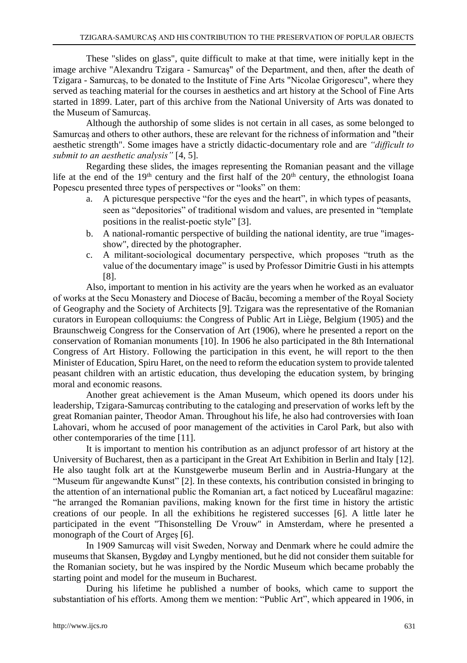These "slides on glass", quite difficult to make at that time, were initially kept in the image archive "Alexandru Tzigara - Samurcaș" of the Department, and then, after the death of Tzigara - Samurcaș, to be donated to the Institute of Fine Arts "Nicolae Grigorescu", where they served as teaching material for the courses in aesthetics and art history at the School of Fine Arts started in 1899. Later, part of this archive from the National University of Arts was donated to the Museum of Samurcaș.

Although the authorship of some slides is not certain in all cases, as some belonged to Samurcaș and others to other authors, these are relevant for the richness of information and "their aesthetic strength". Some images have a strictly didactic-documentary role and are *"difficult to submit to an aesthetic analysis"* [4, 5].

Regarding these slides, the images representing the Romanian peasant and the village life at the end of the 19<sup>th</sup> century and the first half of the 20<sup>th</sup> century, the ethnologist Ioana Popescu presented three types of perspectives or "looks" on them:

- a. A picturesque perspective "for the eyes and the heart", in which types of peasants, seen as "depositories" of traditional wisdom and values, are presented in "template positions in the realist-poetic style" [3].
- b. A national-romantic perspective of building the national identity, are true "imagesshow", directed by the photographer.
- c. A militant-sociological documentary perspective, which proposes "truth as the value of the documentary image" is used by Professor Dimitrie Gusti in his attempts [8].

Also, important to mention in his activity are the years when he worked as an evaluator of works at the Secu Monastery and Diocese of Bacău, becoming a member of the Royal Society of Geography and the Society of Architects [9]. Tzigara was the representative of the Romanian curators in European colloquiums: the Congress of Public Art in Liège, Belgium (1905) and the Braunschweig Congress for the Conservation of Art (1906), where he presented a report on the conservation of Romanian monuments [10]. In 1906 he also participated in the 8th International Congress of Art History. Following the participation in this event, he will report to the then Minister of Education, Spiru Haret, on the need to reform the education system to provide talented peasant children with an artistic education, thus developing the education system, by bringing moral and economic reasons.

Another great achievement is the Aman Museum, which opened its doors under his leadership, Tzigara-Samurcaș contributing to the cataloging and preservation of works left by the great Romanian painter, Theodor Aman. Throughout his life, he also had controversies with Ioan Lahovari, whom he accused of poor management of the activities in Carol Park, but also with other contemporaries of the time [11].

It is important to mention his contribution as an adjunct professor of art history at the University of Bucharest, then as a participant in the Great Art Exhibition in Berlin and Italy [12]. He also taught folk art at the Kunstgewerbe museum Berlin and in Austria-Hungary at the "Museum für angewandte Kunst" [2]. In these contexts, his contribution consisted in bringing to the attention of an international public the Romanian art, a fact noticed by Luceafărul magazine: "he arranged the Romanian pavilions, making known for the first time in history the artistic creations of our people. In all the exhibitions he registered successes [6]. A little later he participated in the event "Thisonstelling De Vrouw" in Amsterdam, where he presented a monograph of the Court of Argeș [6].

In 1909 Samurcaș will visit Sweden, Norway and Denmark where he could admire the museums that Skansen, Bygdøy and Lyngby mentioned, but he did not consider them suitable for the Romanian society, but he was inspired by the Nordic Museum which became probably the starting point and model for the museum in Bucharest.

During his lifetime he published a number of books, which came to support the substantiation of his efforts. Among them we mention: "Public Art", which appeared in 1906, in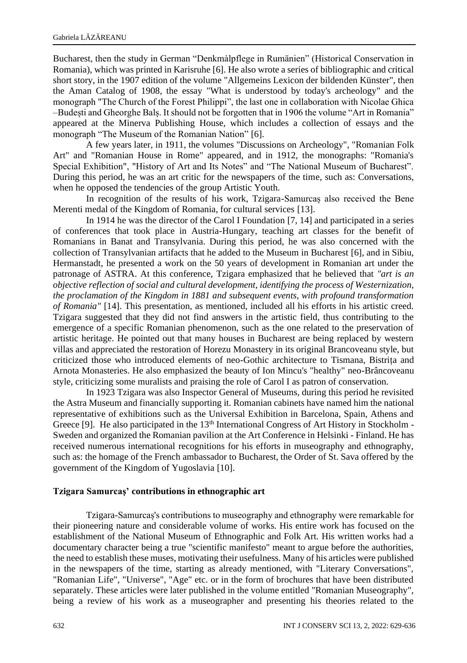Bucharest, then the study in German "Denkmàlpflege in Rumänien" (Historical Conservation in Romania), which was printed in Karisruhe [6]. He also wrote a series of bibliographic and critical short story, in the 1907 edition of the volume "Allgemeins Lexicon der bildenden Künster", then the Aman Catalog of 1908, the essay "What is understood by today's archeology" and the monograph "The Church of the Forest Philippi", the last one in collaboration with Nicolae Ghica –Budești and Gheorghe Balș. It should not be forgotten that in 1906 the volume "Art in Romania" appeared at the Minerva Publishing House, which includes a collection of essays and the monograph "The Museum of the Romanian Nation" [6].

A few years later, in 1911, the volumes "Discussions on Archeology", "Romanian Folk Art" and "Romanian House in Rome" appeared, and in 1912, the monographs: "Romania's Special Exhibition", "History of Art and Its Notes" and "The National Museum of Bucharest". During this period, he was an art critic for the newspapers of the time, such as: Conversations, when he opposed the tendencies of the group Artistic Youth.

In recognition of the results of his work, Tzigara-Samurcaș also received the Bene Merenti medal of the Kingdom of Romania, for cultural services [13].

In 1914 he was the director of the Carol I Foundation [7, 14] and participated in a series of conferences that took place in Austria-Hungary, teaching art classes for the benefit of Romanians in Banat and Transylvania. During this period, he was also concerned with the collection of Transylvanian artifacts that he added to the Museum in Bucharest [6], and in Sibiu, Hermanstadt, he presented a work on the 50 years of development in Romanian art under the patronage of ASTRA. At this conference, Tzigara emphasized that he believed that *"art is an objective reflection of social and cultural development, identifying the process of Westernization, the proclamation of the Kingdom in 1881 and subsequent events, with profound transformation of Romania"* [14]. This presentation, as mentioned, included all his efforts in his artistic creed. Tzigara suggested that they did not find answers in the artistic field, thus contributing to the emergence of a specific Romanian phenomenon, such as the one related to the preservation of artistic heritage. He pointed out that many houses in Bucharest are being replaced by western villas and appreciated the restoration of Horezu Monastery in its original Brancoveanu style, but criticized those who introduced elements of neo-Gothic architecture to Tismana, Bistrița and Arnota Monasteries. He also emphasized the beauty of Ion Mincu's "healthy" neo-Brâncoveanu style, criticizing some muralists and praising the role of Carol I as patron of conservation.

In 1923 Tzigara was also Inspector General of Museums, during this period he revisited the Astra Museum and financially supporting it. Romanian cabinets have named him the national representative of exhibitions such as the Universal Exhibition in Barcelona, Spain, Athens and Greece [9]. He also participated in the 13<sup>th</sup> International Congress of Art History in Stockholm -Sweden and organized the Romanian pavilion at the Art Conference in Helsinki - Finland. He has received numerous international recognitions for his efforts in museography and ethnography, such as: the homage of the French ambassador to Bucharest, the Order of St. Sava offered by the government of the Kingdom of Yugoslavia [10].

#### **Tzigara Samurcaş' contributions in ethnographic art**

Tzigara-Samurcaș's contributions to museography and ethnography were remarkable for their pioneering nature and considerable volume of works. His entire work has focused on the establishment of the National Museum of Ethnographic and Folk Art. His written works had a documentary character being a true "scientific manifesto" meant to argue before the authorities, the need to establish these muses, motivating their usefulness. Many of his articles were published in the newspapers of the time, starting as already mentioned, with "Literary Conversations", "Romanian Life", "Universe", "Age" etc. or in the form of brochures that have been distributed separately. These articles were later published in the volume entitled "Romanian Museography", being a review of his work as a museographer and presenting his theories related to the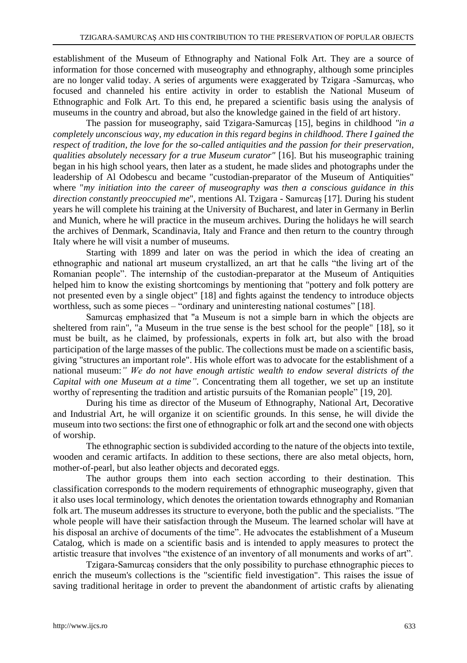establishment of the Museum of Ethnography and National Folk Art. They are a source of information for those concerned with museography and ethnography, although some principles are no longer valid today. A series of arguments were exaggerated by Tzigara -Samurcaș, who focused and channeled his entire activity in order to establish the National Museum of Ethnographic and Folk Art. To this end, he prepared a scientific basis using the analysis of museums in the country and abroad, but also the knowledge gained in the field of art history.

The passion for museography, said Tzigara-Samurcaș [15], begins in childhood *"in a completely unconscious way, my education in this regard begins in childhood. There I gained the respect of tradition, the love for the so-called antiquities and the passion for their preservation, qualities absolutely necessary for a true Museum curator"* [16]. But his museographic training began in his high school years, then later as a student, he made slides and photographs under the leadership of Al Odobescu and became "custodian-preparator of the Museum of Antiquities" where "*my initiation into the career of museography was then a conscious guidance in this direction constantly preoccupied me*", mentions Al. Tzigara - Samurcaș [17]. During his student years he will complete his training at the University of Bucharest, and later in Germany in Berlin and Munich, where he will practice in the museum archives. During the holidays he will search the archives of Denmark, Scandinavia, Italy and France and then return to the country through Italy where he will visit a number of museums.

Starting with 1899 and later on was the period in which the idea of creating an ethnographic and national art museum crystallized, an art that he calls "the living art of the Romanian people". The internship of the custodian-preparator at the Museum of Antiquities helped him to know the existing shortcomings by mentioning that "pottery and folk pottery are not presented even by a single object" [18] and fights against the tendency to introduce objects worthless, such as some pieces – "ordinary and uninteresting national costumes" [18].

Samurcaș emphasized that "a Museum is not a simple barn in which the objects are sheltered from rain", "a Museum in the true sense is the best school for the people" [18], so it must be built, as he claimed, by professionals, experts in folk art, but also with the broad participation of the large masses of the public. The collections must be made on a scientific basis, giving "structures an important role". His whole effort was to advocate for the establishment of a national museum:*" We do not have enough artistic wealth to endow several districts of the Capital with one Museum at a time"*. Concentrating them all together, we set up an institute worthy of representing the tradition and artistic pursuits of the Romanian people" [19, 20].

During his time as director of the Museum of Ethnography, National Art, Decorative and Industrial Art, he will organize it on scientific grounds. In this sense, he will divide the museum into two sections: the first one of ethnographic or folk art and the second one with objects of worship.

The ethnographic section is subdivided according to the nature of the objects into textile, wooden and ceramic artifacts. In addition to these sections, there are also metal objects, horn, mother-of-pearl, but also leather objects and decorated eggs.

The author groups them into each section according to their destination. This classification corresponds to the modern requirements of ethnographic museography, given that it also uses local terminology, which denotes the orientation towards ethnography and Romanian folk art. The museum addresses its structure to everyone, both the public and the specialists. "The whole people will have their satisfaction through the Museum. The learned scholar will have at his disposal an archive of documents of the time". He advocates the establishment of a Museum Catalog, which is made on a scientific basis and is intended to apply measures to protect the artistic treasure that involves "the existence of an inventory of all monuments and works of art".

Tzigara-Samurcaș considers that the only possibility to purchase ethnographic pieces to enrich the museum's collections is the "scientific field investigation". This raises the issue of saving traditional heritage in order to prevent the abandonment of artistic crafts by alienating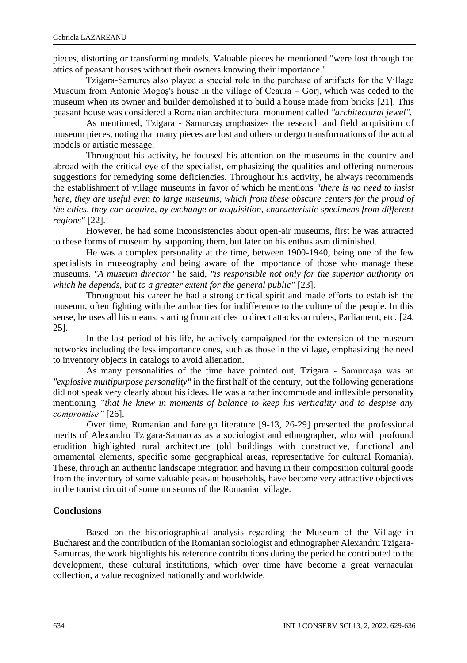pieces, distorting or transforming models. Valuable pieces he mentioned "were lost through the attics of peasant houses without their owners knowing their importance."

Tzigara-Samurcș also played a special role in the purchase of artifacts for the Village Museum from Antonie Mogoș's house in the village of Ceaura – Gorj, which was ceded to the museum when its owner and builder demolished it to build a house made from bricks [21]. This peasant house was considered a Romanian architectural monument called *"architectural jewel".*

As mentioned, Tzigara - Samurcaș emphasizes the research and field acquisition of museum pieces, noting that many pieces are lost and others undergo transformations of the actual models or artistic message.

Throughout his activity, he focused his attention on the museums in the country and abroad with the critical eye of the specialist, emphasizing the qualities and offering numerous suggestions for remedying some deficiencies. Throughout his activity, he always recommends the establishment of village museums in favor of which he mentions *"there is no need to insist here, they are useful even to large museums, which from these obscure centers for the proud of the cities, they can acquire, by exchange or acquisition, characteristic specimens from different regions"* [22].

However, he had some inconsistencies about open-air museums, first he was attracted to these forms of museum by supporting them, but later on his enthusiasm diminished.

He was a complex personality at the time, between 1900-1940, being one of the few specialists in museography and being aware of the importance of those who manage these museums. *"A museum director"* he said, *"is responsible not only for the superior authority on which he depends, but to a greater extent for the general public"* [23].

Throughout his career he had a strong critical spirit and made efforts to establish the museum, often fighting with the authorities for indifference to the culture of the people. In this sense, he uses all his means, starting from articles to direct attacks on rulers, Parliament, etc. [24, 25].

In the last period of his life, he actively campaigned for the extension of the museum networks including the less importance ones, such as those in the village, emphasizing the need to inventory objects in catalogs to avoid alienation.

As many personalities of the time have pointed out, Tzigara - Samurcașa was an *"explosive multipurpose personality"* in the first half of the century, but the following generations did not speak very clearly about his ideas. He was a rather incommode and inflexible personality mentioning *"that he knew in moments of balance to keep his verticality and to despise any compromise"* [26].

Over time, Romanian and foreign literature [9-13, 26-29] presented the professional merits of Alexandru Tzigara-Samarcas as a sociologist and ethnographer, who with profound erudition highlighted rural architecture (old buildings with constructive, functional and ornamental elements, specific some geographical areas, representative for cultural Romania). These, through an authentic landscape integration and having in their composition cultural goods from the inventory of some valuable peasant households, have become very attractive objectives in the tourist circuit of some museums of the Romanian village.

#### **Conclusions**

Based on the historiographical analysis regarding the Museum of the Village in Bucharest and the contribution of the Romanian sociologist and ethnographer Alexandru Tzigara-Samurcas, the work highlights his reference contributions during the period he contributed to the development, these cultural institutions, which over time have become a great vernacular collection, a value recognized nationally and worldwide.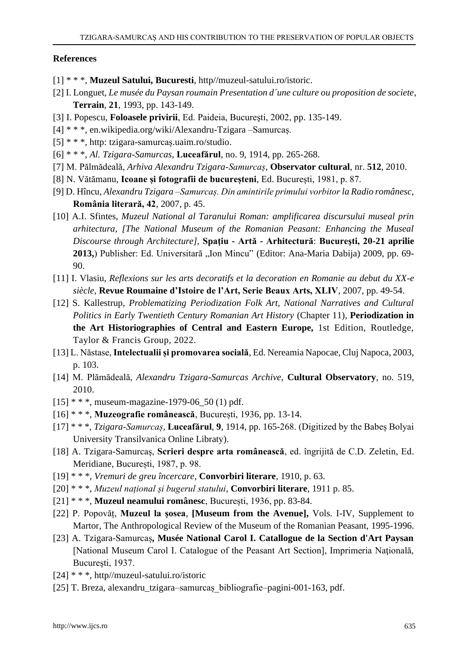#### **References**

- [1] \* \* \*, **Muzeul Satului, Bucuresti**, http//muzeul-satului.ro/istoric.
- [2] I. Longuet, *Le musée du Paysan roumain Presentation d´une culture ou proposition de societe*, **Terrain**, **21**, 1993, pp. 143-149.
- [3] I. Popescu, **Foloasele privirii**, Ed. Paideia, Bucureşti, 2002, pp. 135-149.
- [4] \* \* \*, en.wikipedia.org/wiki/Alexandru-Tzigara –Samurcaș.
- [5] \* \* \*, http: tzigara-samurcaș.uaim.ro/studio.
- [6] \* \* \*, *Al. Tzigara-Samurcas,* **Luceafărul**, no. 9, 1914, pp. 265-268.
- [7] M. Pălmădeală, *Arhiva Alexandru Tzigara-Samurcaș*, **Observator cultural**, nr. **512**, 2010.
- [8] N. Vătămanu, **Icoane și fotografii de bucureșteni**, Ed. București, 1981, p. 87.
- [9] D. Hîncu, *Alexandru Tzigara –Samurcaș. Din amintirile primului vorbitor la Radio românesc*, **România literară, 42**, 2007, p. 45.
- [10] A.I. Sfintes, *Muzeul National al Taranului Roman: amplificarea discursului museal prin arhitectura, [The National Museum of the Romanian Peasant: Enhancing the Museal Discourse through Architecture],* **Spaţiu - Artă - Arhitectură**: **Bucureşti, 20-21 aprilie 2013,**) Publisher: Ed. Universitară "Ion Mincu" (Editor: Ana-Maria Dabija) 2009, pp. 69-90.
- [11] I. Vlasiu, *Reflexions sur les arts decoratifs et la decoration en Romanie au debut du XX-e siècle*, **Revue Roumaine d'Istoire de l'Art, Serie Beaux Arts, XLIV**, 2007, pp. 49-54.
- [12] S. Kallestrup, *Problematizing Periodization Folk Art, National Narratives and Cultural Politics in Early Twentieth Century Romanian Art History* (Chapter 11)*,* **Periodization in the Art Historiographies of Central and Eastern Europe,** 1st Edition, Routledge, Taylor & Francis Group, 2022.
- [13] L. Năstase, **Intelectualii și promovarea socială**, Ed. Nereamia Napocae, Cluj Napoca, 2003, p. 103.
- [14] M. Plămădeală, *Alexandru Tzigara-Samurcas Archive,* **Cultural Observatory**, no. 519, 2010.
- $[15]$  \* \* \*, museum-magazine-1979-06 50 (1) pdf.
- [16] \* \* \*, **Muzeografie românească**, București, 1936, pp. 13-14.
- [17] \* \* \*, *Tzigara-Samurcaș,* **Luceafărul**, **9**, 1914, pp. 165-268. (Digitized by the Babeș Bolyai University Transilvanica Online Libraty).
- [18] A. Tzigara-Samurcaș, **Scrieri despre arta românească**, ed. îngrijită de C.D. Zeletin, Ed. Meridiane, București, 1987, p. 98.
- [19] \* \* \*, *Vremuri de greu încercare*, **Convorbiri literare**, 1910, p. 63.
- [20] \* \* \*, *Muzeul național și bugerul statului*, **Convorbiri literare**, 1911 p. 85.
- [21] \* \* \*, **Muzeul neamului românesc**, București, 1936, pp. 83-84.
- [22] P. Popovăț, **Muzeul la șosea***,* **[Museum from the Avenue],** Vols. I-IV, Supplement to Martor, The Anthropological Review of the Museum of the Romanian Peasant, 1995-1996.
- [23] A. Tzigara-Samurcaș**, Musée National Carol I. Catallogue de la Section d'Art Paysan** [National Museum Carol I. Catalogue of the Peasant Art Section], Imprimeria Naţională, Bucureşti, 1937.
- [24] \* \* \*, http//muzeul-satului.ro/istoric
- [25] T. Breza, alexandru\_tzigara–samurcaș\_bibliografie–pagini-001-163, pdf.